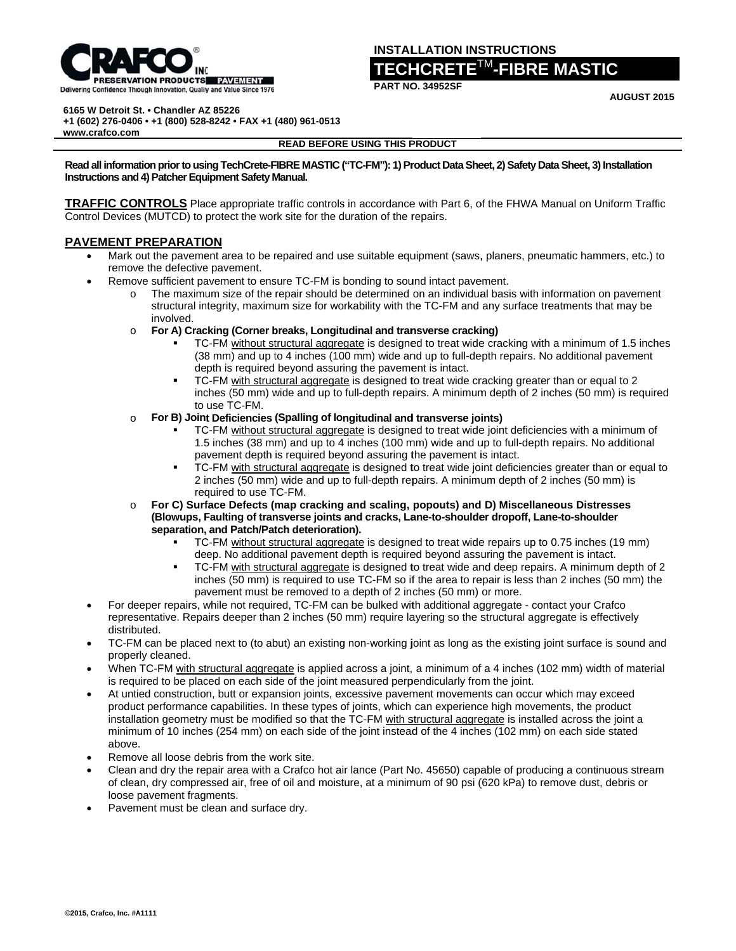

## **INSTALLATION INSTRUCTIONS**

# $\mathsf{ECHCRETE}^{\mathsf{TM}}\text{-}\mathsf{FIBRE\;MASTIC}$

**AUGUST 2015** 

6165 W Detroit St. . Chandler AZ 85226

+1 (602) 276-0406 · +1 (800) 528-8242 · FAX +1 (480) 961-0513

www.crafco.com

#### **READ BEFORE USING THIS PRODUCT**

Read all information prior to using TechCrete-FIBRE MASTIC ("TC-FM"): 1) Product Data Sheet, 2) Safety Data Sheet, 3) Installation Instructions and 4) Patcher Equipment Safety Manual.

TRAFFIC CONTROLS Place appropriate traffic controls in accordance with Part 6, of the FHWA Manual on Uniform Traffic Control Devices (MUTCD) to protect the work site for the duration of the repairs.

## **PAVEMENT PREPARATION**

- Mark out the pavement area to be repaired and use suitable equipment (saws, planers, pneumatic hammers, etc.) to remove the defective pavement.
- Remove sufficient pavement to ensure TC-FM is bonding to sound intact pavement.  $\bullet$ 
	- o The maximum size of the repair should be determined on an individual basis with information on pavement structural integrity, maximum size for workability with the TC-FM and any surface treatments that may be involved.
	- For A) Cracking (Corner breaks, Longitudinal and transverse cracking)  $\circ$ 
		- TC-FM without structural aggregate is designed to treat wide cracking with a minimum of 1.5 inches (38 mm) and up to 4 inches (100 mm) wide and up to full-depth repairs. No additional pavement depth is required beyond assuring the pavement is intact.
		- TC-FM with structural aggregate is designed to treat wide cracking greater than or equal to 2 inches (50 mm) wide and up to full-depth repairs. A minimum depth of 2 inches (50 mm) is required to use TC-FM.
	- For B) Joint Deficiencies (Spalling of longitudinal and transverse joints)  $\circ$ 
		- TC-FM without structural aggregate is designed to treat wide joint deficiencies with a minimum of 1.5 inches (38 mm) and up to 4 inches (100 mm) wide and up to full-depth repairs. No additional pavement depth is required beyond assuring the pavement is intact.
		- TC-FM with structural aggregate is designed to treat wide joint deficiencies greater than or equal to 2 inches (50 mm) wide and up to full-depth repairs. A minimum depth of 2 inches (50 mm) is required to use TC-FM.
	- For C) Surface Defects (map cracking and scaling, popouts) and D) Miscellaneous Distresses  $\Omega$ (Blowups, Faulting of transverse joints and cracks, Lane-to-shoulder dropoff, Lane-to-shoulder separation, and Patch/Patch deterioration).
		- TC-FM without structural aggregate is designed to treat wide repairs up to 0.75 inches (19 mm) deep. No additional pavement depth is required beyond assuring the pavement is intact.
		- TC-FM with structural aggregate is designed to treat wide and deep repairs. A minimum depth of 2 inches (50 mm) is required to use TC-FM so if the area to repair is less than 2 inches (50 mm) the pavement must be removed to a depth of 2 inches (50 mm) or more.
- For deeper repairs, while not required, TC-FM can be bulked with additional aggregate contact your Crafco representative. Repairs deeper than 2 inches (50 mm) require layering so the structural aggregate is effectively distributed.
- TC-FM can be placed next to (to abut) an existing non-working joint as long as the existing joint surface is sound and properly cleaned.
- When TC-FM with structural aggregate is applied across a joint, a minimum of a 4 inches (102 mm) width of material is required to be placed on each side of the joint measured perpendicularly from the joint.
- At untied construction, butt or expansion joints, excessive pavement movements can occur which may exceed product performance capabilities. In these types of joints, which can experience high movements, the product installation geometry must be modified so that the TC-FM with structural aggregate is installed across the joint a minimum of 10 inches (254 mm) on each side of the joint instead of the 4 inches (102 mm) on each side stated above.
- Remove all loose debris from the work site.
- Clean and dry the repair area with a Crafco hot air lance (Part No. 45650) capable of producing a continuous stream of clean, dry compressed air, free of oil and moisture, at a minimum of 90 psi (620 kPa) to remove dust, debris or loose pavement fragments.
- Pavement must be clean and surface dry.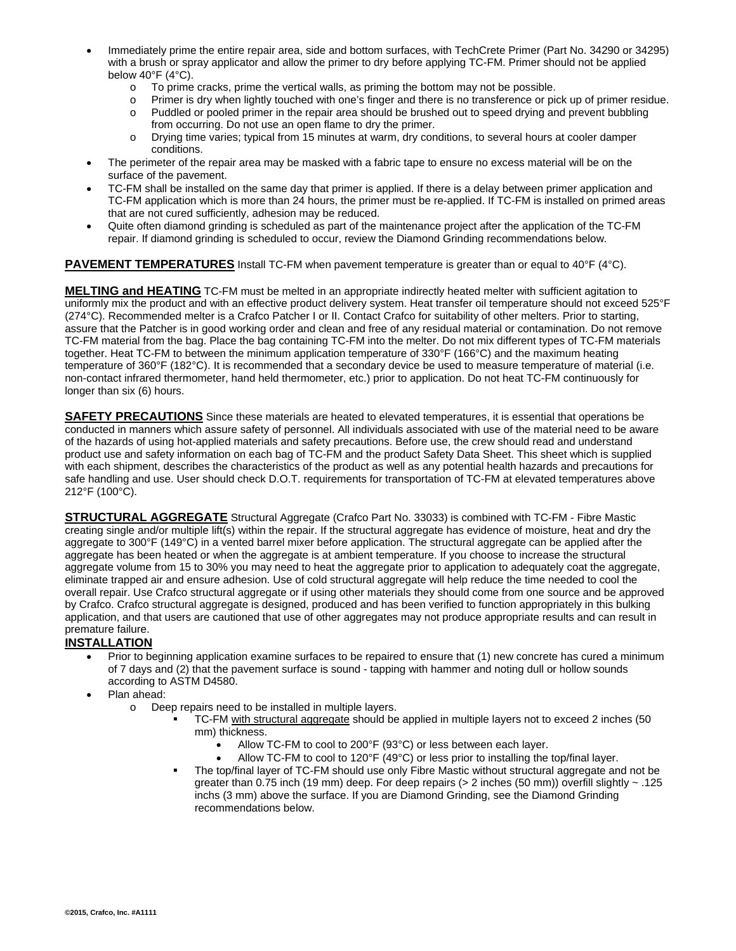- Immediately prime the entire repair area, side and bottom surfaces, with TechCrete Primer (Part No. 34290 or 34295) with a brush or spray applicator and allow the primer to dry before applying TC-FM. Primer should not be applied below 40°F (4°C).
	- $\circ$  To prime cracks, prime the vertical walls, as priming the bottom may not be possible.
	- o Primer is dry when lightly touched with one's finger and there is no transference or pick up of primer residue.
	- o Puddled or pooled primer in the repair area should be brushed out to speed drying and prevent bubbling from occurring. Do not use an open flame to dry the primer.
	- o Drying time varies; typical from 15 minutes at warm, dry conditions, to several hours at cooler damper conditions.
- The perimeter of the repair area may be masked with a fabric tape to ensure no excess material will be on the surface of the pavement.
- TC-FM shall be installed on the same day that primer is applied. If there is a delay between primer application and TC-FM application which is more than 24 hours, the primer must be re-applied. If TC-FM is installed on primed areas that are not cured sufficiently, adhesion may be reduced.
- Quite often diamond grinding is scheduled as part of the maintenance project after the application of the TC-FM repair. If diamond grinding is scheduled to occur, review the Diamond Grinding recommendations below.

**PAVEMENT TEMPERATURES** Install TC-FM when pavement temperature is greater than or equal to 40°F (4°C).

**MELTING and HEATING** TC-FM must be melted in an appropriate indirectly heated melter with sufficient agitation to uniformly mix the product and with an effective product delivery system. Heat transfer oil temperature should not exceed 525°F (274°C). Recommended melter is a Crafco Patcher I or II. Contact Crafco for suitability of other melters. Prior to starting, assure that the Patcher is in good working order and clean and free of any residual material or contamination. Do not remove TC-FM material from the bag. Place the bag containing TC-FM into the melter. Do not mix different types of TC-FM materials together. Heat TC-FM to between the minimum application temperature of 330°F (166°C) and the maximum heating temperature of 360°F (182°C). It is recommended that a secondary device be used to measure temperature of material (i.e. non-contact infrared thermometer, hand held thermometer, etc.) prior to application. Do not heat TC-FM continuously for longer than six (6) hours.

**SAFETY PRECAUTIONS** Since these materials are heated to elevated temperatures, it is essential that operations be conducted in manners which assure safety of personnel. All individuals associated with use of the material need to be aware of the hazards of using hot-applied materials and safety precautions. Before use, the crew should read and understand product use and safety information on each bag of TC-FM and the product Safety Data Sheet. This sheet which is supplied with each shipment, describes the characteristics of the product as well as any potential health hazards and precautions for safe handling and use. User should check D.O.T. requirements for transportation of TC-FM at elevated temperatures above 212°F (100°C).

**STRUCTURAL AGGREGATE** Structural Aggregate (Crafco Part No. 33033) is combined with TC-FM - Fibre Mastic creating single and/or multiple lift(s) within the repair. If the structural aggregate has evidence of moisture, heat and dry the aggregate to 300°F (149°C) in a vented barrel mixer before application. The structural aggregate can be applied after the aggregate has been heated or when the aggregate is at ambient temperature. If you choose to increase the structural aggregate volume from 15 to 30% you may need to heat the aggregate prior to application to adequately coat the aggregate, eliminate trapped air and ensure adhesion. Use of cold structural aggregate will help reduce the time needed to cool the overall repair. Use Crafco structural aggregate or if using other materials they should come from one source and be approved by Crafco. Crafco structural aggregate is designed, produced and has been verified to function appropriately in this bulking application, and that users are cautioned that use of other aggregates may not produce appropriate results and can result in premature failure.

## **INSTALLATION**

- Prior to beginning application examine surfaces to be repaired to ensure that (1) new concrete has cured a minimum of 7 days and (2) that the pavement surface is sound - tapping with hammer and noting dull or hollow sounds according to ASTM D4580.
	- Plan ahead:
		- o Deep repairs need to be installed in multiple layers.
			- TC-FM with structural aggregate should be applied in multiple layers not to exceed 2 inches (50 mm) thickness.
				- Allow TC-FM to cool to 200°F (93°C) or less between each layer.
				- Allow TC-FM to cool to 120°F (49°C) or less prior to installing the top/final layer.
			- The top/final layer of TC-FM should use only Fibre Mastic without structural aggregate and not be greater than 0.75 inch (19 mm) deep. For deep repairs (> 2 inches (50 mm)) overfill slightly ~ .125 inchs (3 mm) above the surface. If you are Diamond Grinding, see the Diamond Grinding recommendations below.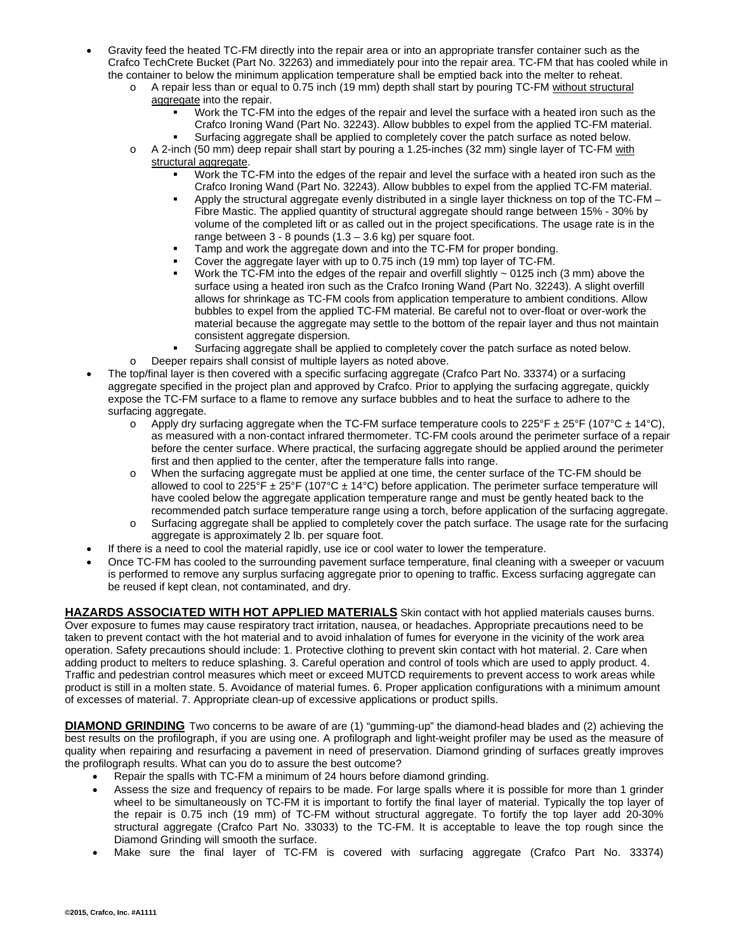- Gravity feed the heated TC-FM directly into the repair area or into an appropriate transfer container such as the Crafco TechCrete Bucket (Part No. 32263) and immediately pour into the repair area. TC-FM that has cooled while in the container to below the minimum application temperature shall be emptied back into the melter to reheat.
	- o A repair less than or equal to 0.75 inch (19 mm) depth shall start by pouring TC-FM without structural aggregate into the repair.
		- Work the TC-FM into the edges of the repair and level the surface with a heated iron such as the Crafco Ironing Wand (Part No. 32243). Allow bubbles to expel from the applied TC-FM material.
	- Surfacing aggregate shall be applied to completely cover the patch surface as noted below. o A 2-inch (50 mm) deep repair shall start by pouring a 1.25-inches (32 mm) single layer of TC-FM with structural aggregate.
		- Work the TC-FM into the edges of the repair and level the surface with a heated iron such as the Crafco Ironing Wand (Part No. 32243). Allow bubbles to expel from the applied TC-FM material.
		- Apply the structural aggregate evenly distributed in a single layer thickness on top of the TC-FM Fibre Mastic. The applied quantity of structural aggregate should range between 15% - 30% by volume of the completed lift or as called out in the project specifications. The usage rate is in the range between  $3 - 8$  pounds  $(1.3 - 3.6$  kg) per square foot.
		- Tamp and work the aggregate down and into the TC-FM for proper bonding.
		- Cover the aggregate layer with up to 0.75 inch (19 mm) top layer of TC-FM.
		- Work the TC-FM into the edges of the repair and overfill slightly  $\sim$  0125 inch (3 mm) above the surface using a heated iron such as the Crafco Ironing Wand (Part No. 32243). A slight overfill allows for shrinkage as TC-FM cools from application temperature to ambient conditions. Allow bubbles to expel from the applied TC-FM material. Be careful not to over-float or over-work the material because the aggregate may settle to the bottom of the repair layer and thus not maintain consistent aggregate dispersion.
		- Surfacing aggregate shall be applied to completely cover the patch surface as noted below.
	- o Deeper repairs shall consist of multiple layers as noted above.
- The top/final layer is then covered with a specific surfacing aggregate (Crafco Part No. 33374) or a surfacing aggregate specified in the project plan and approved by Crafco. Prior to applying the surfacing aggregate, quickly expose the TC-FM surface to a flame to remove any surface bubbles and to heat the surface to adhere to the surfacing aggregate.
	- $\circ$  Apply dry surfacing aggregate when the TC-FM surface temperature cools to 225°F  $\pm$  25°F (107°C  $\pm$  14°C), as measured with a non-contact infrared thermometer. TC-FM cools around the perimeter surface of a repair before the center surface. Where practical, the surfacing aggregate should be applied around the perimeter first and then applied to the center, after the temperature falls into range.
	- o When the surfacing aggregate must be applied at one time, the center surface of the TC-FM should be allowed to cool to  $\overline{225}^{\circ}F \pm 25^{\circ}F$  (107°C  $\pm$  14°C) before application. The perimeter surface temperature will have cooled below the aggregate application temperature range and must be gently heated back to the recommended patch surface temperature range using a torch, before application of the surfacing aggregate.
	- o Surfacing aggregate shall be applied to completely cover the patch surface. The usage rate for the surfacing aggregate is approximately 2 lb. per square foot.
- If there is a need to cool the material rapidly, use ice or cool water to lower the temperature.
- Once TC-FM has cooled to the surrounding pavement surface temperature, final cleaning with a sweeper or vacuum is performed to remove any surplus surfacing aggregate prior to opening to traffic. Excess surfacing aggregate can be reused if kept clean, not contaminated, and dry.

**HAZARDS ASSOCIATED WITH HOT APPLIED MATERIALS** Skin contact with hot applied materials causes burns. Over exposure to fumes may cause respiratory tract irritation, nausea, or headaches. Appropriate precautions need to be taken to prevent contact with the hot material and to avoid inhalation of fumes for everyone in the vicinity of the work area operation. Safety precautions should include: 1. Protective clothing to prevent skin contact with hot material. 2. Care when adding product to melters to reduce splashing. 3. Careful operation and control of tools which are used to apply product. 4. Traffic and pedestrian control measures which meet or exceed MUTCD requirements to prevent access to work areas while product is still in a molten state. 5. Avoidance of material fumes. 6. Proper application configurations with a minimum amount of excesses of material. 7. Appropriate clean-up of excessive applications or product spills.

**DIAMOND GRINDING** Two concerns to be aware of are (1) "gumming-up" the diamond-head blades and (2) achieving the best results on the profilograph, if you are using one. A profilograph and light-weight profiler may be used as the measure of quality when repairing and resurfacing a pavement in need of preservation. Diamond grinding of surfaces greatly improves the profilograph results. What can you do to assure the best outcome?

- Repair the spalls with TC-FM a minimum of 24 hours before diamond grinding.
- Assess the size and frequency of repairs to be made. For large spalls where it is possible for more than 1 grinder wheel to be simultaneously on TC-FM it is important to fortify the final layer of material. Typically the top layer of the repair is 0.75 inch (19 mm) of TC-FM without structural aggregate. To fortify the top layer add 20-30% structural aggregate (Crafco Part No. 33033) to the TC-FM. It is acceptable to leave the top rough since the Diamond Grinding will smooth the surface.
- Make sure the final layer of TC-FM is covered with surfacing aggregate (Crafco Part No. 33374)